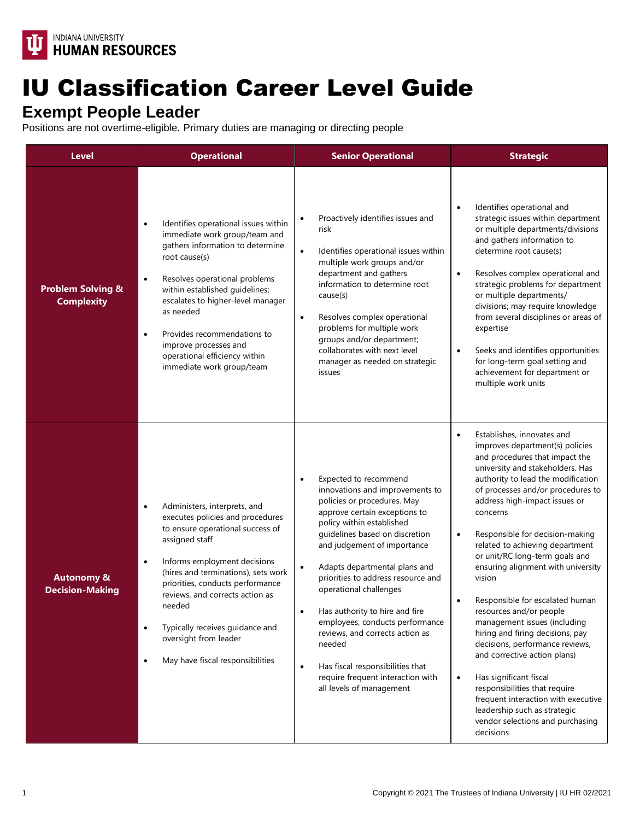

## IU Classification Career Level Guide

## **Exempt People Leader**

Positions are not overtime-eligible. Primary duties are managing or directing people

| <b>Level</b>                                      | <b>Operational</b>                                                                                                                                                                                                                                                                                                                                                                                                                 | <b>Senior Operational</b>                                                                                                                                                                                                                                                                                                                                                                                                                                                                                                                                                                          | <b>Strategic</b>                                                                                                                                                                                                                                                                                                                                                                                                                                                                                                                                                                                                                                                                                                                                                                                                                                   |
|---------------------------------------------------|------------------------------------------------------------------------------------------------------------------------------------------------------------------------------------------------------------------------------------------------------------------------------------------------------------------------------------------------------------------------------------------------------------------------------------|----------------------------------------------------------------------------------------------------------------------------------------------------------------------------------------------------------------------------------------------------------------------------------------------------------------------------------------------------------------------------------------------------------------------------------------------------------------------------------------------------------------------------------------------------------------------------------------------------|----------------------------------------------------------------------------------------------------------------------------------------------------------------------------------------------------------------------------------------------------------------------------------------------------------------------------------------------------------------------------------------------------------------------------------------------------------------------------------------------------------------------------------------------------------------------------------------------------------------------------------------------------------------------------------------------------------------------------------------------------------------------------------------------------------------------------------------------------|
| <b>Problem Solving &amp;</b><br><b>Complexity</b> | Identifies operational issues within<br>$\bullet$<br>immediate work group/team and<br>gathers information to determine<br>root cause(s)<br>Resolves operational problems<br>$\bullet$<br>within established guidelines;<br>escalates to higher-level manager<br>as needed<br>Provides recommendations to<br>$\bullet$<br>improve processes and<br>operational efficiency within<br>immediate work group/team                       | Proactively identifies issues and<br>$\bullet$<br>risk<br>Identifies operational issues within<br>$\bullet$<br>multiple work groups and/or<br>department and gathers<br>information to determine root<br>cause(s)<br>Resolves complex operational<br>$\bullet$<br>problems for multiple work<br>groups and/or department;<br>collaborates with next level<br>manager as needed on strategic<br>issues                                                                                                                                                                                              | Identifies operational and<br>$\bullet$<br>strategic issues within department<br>or multiple departments/divisions<br>and gathers information to<br>determine root cause(s)<br>Resolves complex operational and<br>$\bullet$<br>strategic problems for department<br>or multiple departments/<br>divisions; may require knowledge<br>from several disciplines or areas of<br>expertise<br>Seeks and identifies opportunities<br>$\bullet$<br>for long-term goal setting and<br>achievement for department or<br>multiple work units                                                                                                                                                                                                                                                                                                                |
| <b>Autonomy &amp;</b><br><b>Decision-Making</b>   | Administers, interprets, and<br>$\bullet$<br>executes policies and procedures<br>to ensure operational success of<br>assigned staff<br>Informs employment decisions<br>$\bullet$<br>(hires and terminations), sets work<br>priorities, conducts performance<br>reviews, and corrects action as<br>needed<br>Typically receives guidance and<br>$\bullet$<br>oversight from leader<br>May have fiscal responsibilities<br>$\bullet$ | Expected to recommend<br>$\bullet$<br>innovations and improvements to<br>policies or procedures. May<br>approve certain exceptions to<br>policy within established<br>guidelines based on discretion<br>and judgement of importance<br>Adapts departmental plans and<br>$\bullet$<br>priorities to address resource and<br>operational challenges<br>Has authority to hire and fire<br>$\bullet$<br>employees, conducts performance<br>reviews, and corrects action as<br>needed<br>Has fiscal responsibilities that<br>$\bullet$<br>require frequent interaction with<br>all levels of management | Establishes, innovates and<br>$\bullet$<br>improves department(s) policies<br>and procedures that impact the<br>university and stakeholders. Has<br>authority to lead the modification<br>of processes and/or procedures to<br>address high-impact issues or<br>concerns<br>Responsible for decision-making<br>$\bullet$<br>related to achieving department<br>or unit/RC long-term goals and<br>ensuring alignment with university<br>vision<br>Responsible for escalated human<br>resources and/or people<br>management issues (including<br>hiring and firing decisions, pay<br>decisions, performance reviews,<br>and corrective action plans)<br>Has significant fiscal<br>$\bullet$<br>responsibilities that require<br>frequent interaction with executive<br>leadership such as strategic<br>vendor selections and purchasing<br>decisions |